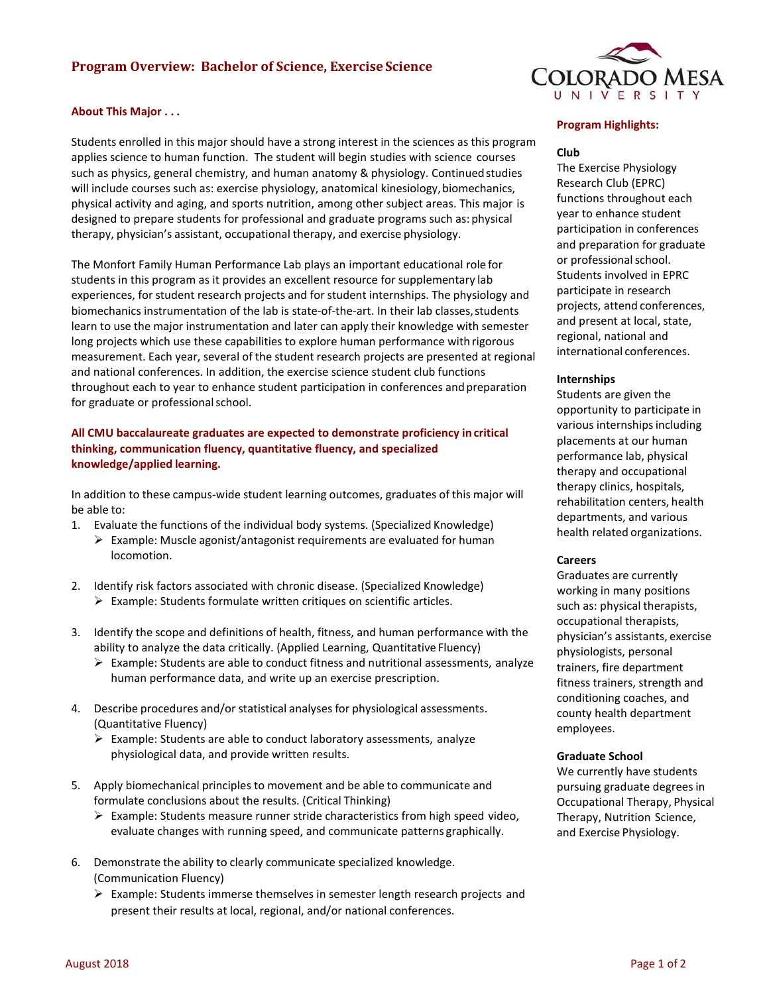# **Program Overview: Bachelor of Science, Exercise Science**

#### **About This Major . . .**

Students enrolled in this major should have a strong interest in the sciences as this program applies science to human function. The student will begin studies with science courses such as physics, general chemistry, and human anatomy & physiology. Continued studies will include courses such as: exercise physiology, anatomical kinesiology,biomechanics, physical activity and aging, and sports nutrition, among other subject areas. This major is designed to prepare students for professional and graduate programs such as: physical therapy, physician's assistant, occupational therapy, and exercise physiology.

The Monfort Family Human Performance Lab plays an important educational role for students in this program as it provides an excellent resource for supplementary lab experiences, for student research projects and for student internships. The physiology and biomechanics instrumentation of the lab is state-of-the-art. In their lab classes, students learn to use the major instrumentation and later can apply their knowledge with semester long projects which use these capabilities to explore human performance with rigorous measurement. Each year, several of the student research projects are presented at regional and national conferences. In addition, the exercise science student club functions throughout each to year to enhance student participation in conferences andpreparation for graduate or professionalschool.

## **All CMU baccalaureate graduates are expected to demonstrate proficiency in critical thinking, communication fluency, quantitative fluency, and specialized knowledge/applied learning.**

In addition to these campus-wide student learning outcomes, graduates of this major will be able to:

- 1. Evaluate the functions of the individual body systems. (Specialized Knowledge)
	- $\triangleright$  Example: Muscle agonist/antagonist requirements are evaluated for human locomotion.
- 2. Identify risk factors associated with chronic disease. (Specialized Knowledge)  $\triangleright$  Example: Students formulate written critiques on scientific articles.
- 3. Identify the scope and definitions of health, fitness, and human performance with the ability to analyze the data critically. (Applied Learning, Quantitative Fluency)
	- $\triangleright$  Example: Students are able to conduct fitness and nutritional assessments, analyze human performance data, and write up an exercise prescription.
- 4. Describe procedures and/or statistical analyses for physiological assessments. (Quantitative Fluency)
	- $\triangleright$  Example: Students are able to conduct laboratory assessments, analyze physiological data, and provide written results.
- 5. Apply biomechanical principles to movement and be able to communicate and formulate conclusions about the results. (Critical Thinking)
	- $\triangleright$  Example: Students measure runner stride characteristics from high speed video, evaluate changes with running speed, and communicate patterns graphically.
- 6. Demonstrate the ability to clearly communicate specialized knowledge. (Communication Fluency)
	- $\triangleright$  Example: Students immerse themselves in semester length research projects and present their results at local, regional, and/or national conferences.



#### **Program Highlights:**

## **Club**

The Exercise Physiology Research Club (EPRC) functions throughout each year to enhance student participation in conferences and preparation for graduate or professional school. Students involved in EPRC participate in research projects, attend conferences, and present at local, state, regional, national and international conferences.

#### **Internships**

Students are given the opportunity to participate in various internships including placements at our human performance lab, physical therapy and occupational therapy clinics, hospitals, rehabilitation centers, health departments, and various health related organizations.

#### **Careers**

Graduates are currently working in many positions such as: physical therapists, occupational therapists, physician's assistants, exercise physiologists, personal trainers, fire department fitness trainers, strength and conditioning coaches, and county health department employees.

#### **Graduate School**

We currently have students pursuing graduate degrees in Occupational Therapy, Physical Therapy, Nutrition Science, and Exercise Physiology.